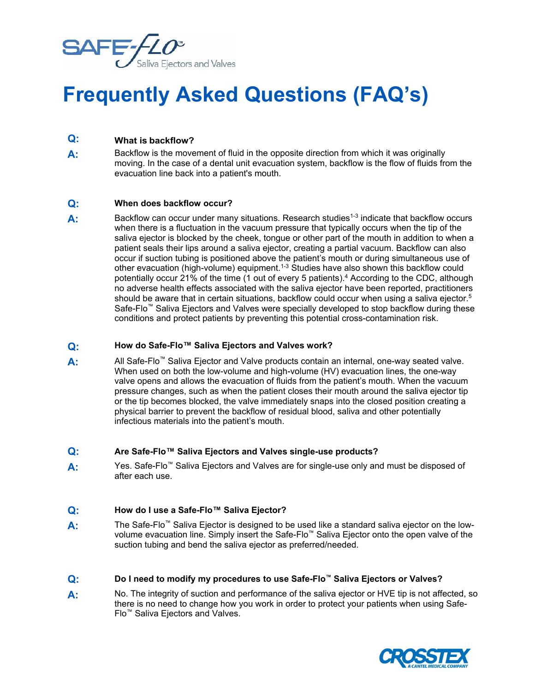

# **Frequently Asked Questions (FAQ's)**

# **Q: What is backflow?**

**A:** Backflow is the movement of fluid in the opposite direction from which it was originally moving. In the case of a dental unit evacuation system, backflow is the flow of fluids from the evacuation line back into a patient's mouth.

#### **Q: When does backflow occur?**

A: Backflow can occur under many situations. Research studies<sup>1-3</sup> indicate that backflow occurs when there is a fluctuation in the vacuum pressure that typically occurs when the tip of the saliva ejector is blocked by the cheek, tongue or other part of the mouth in addition to when a patient seals their lips around a saliva ejector, creating a partial vacuum. Backflow can also occur if suction tubing is positioned above the patient's mouth or during simultaneous use of other evacuation (high-volume) equipment.<sup>1-3</sup> Studies have also shown this backflow could potentially occur 21% of the time (1 out of every 5 patients).<sup>4</sup> According to the CDC, although no adverse health effects associated with the saliva ejector have been reported, practitioners should be aware that in certain situations, backflow could occur when using a saliva ejector.<sup>5</sup> Safe-Flo™ Saliva Ejectors and Valves were specially developed to stop backflow during these conditions and protect patients by preventing this potential cross-contamination risk.

## **Q: How do Safe-Flo™ Saliva Ejectors and Valves work?**

**A:** All Safe-Flo™ Saliva Ejector and Valve products contain an internal, one-way seated valve. When used on both the low-volume and high-volume (HV) evacuation lines, the one-way valve opens and allows the evacuation of fluids from the patient's mouth. When the vacuum pressure changes, such as when the patient closes their mouth around the saliva ejector tip or the tip becomes blocked, the valve immediately snaps into the closed position creating a physical barrier to prevent the backflow of residual blood, saliva and other potentially infectious materials into the patient's mouth.

#### **Q: Are Safe-Flo™ Saliva Ejectors and Valves single-use products?**

**A:** Yes. Safe-Flo™ Saliva Ejectors and Valves are for single-use only and must be disposed of after each use.

# **Q: How do I use a Safe-Flo™ Saliva Ejector?**

- **A:** The Safe-Flo™ Saliva Ejector is designed to be used like a standard saliva ejector on the lowvolume evacuation line. Simply insert the Safe-Flo™ Saliva Ejector onto the open valve of the suction tubing and bend the saliva ejector as preferred/needed.
- **Q: Do I need to modify my procedures to use Safe-Flo™ Saliva Ejectors or Valves?**
- **A:** No. The integrity of suction and performance of the saliva ejector or HVE tip is not affected, so there is no need to change how you work in order to protect your patients when using Safe-Flo™ Saliva Ejectors and Valves.